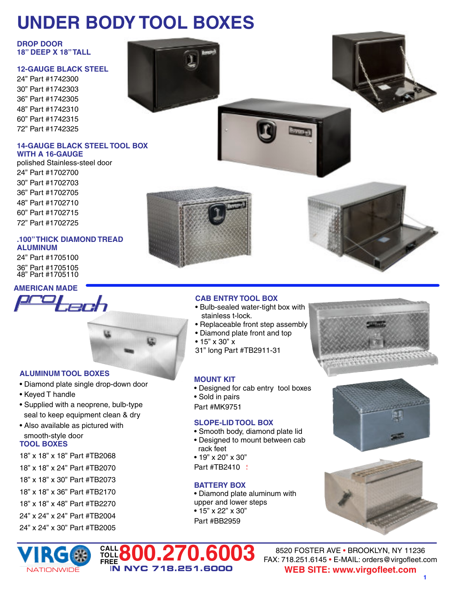# **UNDER BODY TOOL BOXES**

**DROP DOOR 18" DEEP X 18"TALL**

# **12-GAUGE BLACK STEEL**

24" Part #1742300 30" Part #1742303 **\$477.00**  $36"$  Part #1742305 48" Part #1742310 **\$588.99** 60" Part #1742315 72" Part #1742325 **\$1256.99**

#### **14-GAUGE BLACK STEEL TOOL BOX WITH A 16-GAUGE**

polished Stainless-steel door 24" Part #1702700  $30"$  Part #1702703  $36"$  Part #1702705 48" Part #1702710  $60"$  Part #1702715  $72"$  Part #1702725

# **.100"THICK DIAMOND TREAD ALUMINUM**

24" Part #1705100 **\$470.00**  $36"$  Part #1705105  $48$ " Part #1705110





# **ALUMINUM TOOL BOXES**

- Diamond plate single drop-down door
- Keyed T handle
- Supplied with a neoprene, bulb-type seal to keep equipment clean & dry
- Also available as pictured with smooth-style door

# **TOOL BOXES**

- 18" x 18" x 18" Part #TB2068
- 18" x 18" x 24" Part #TB2070
- 18" x 18" x 30" Part #TB2073
- 18" x 18" x 36" Part #TB2170
- 18" x 18" x 48" Part #TB2270
- 24" x 24" x 24" Part #TB2004
- 24" x 24" x 30" Part #TB2005







# **CAB ENTRY TOOL BOX**

- Bulb-sealed water-tight box with stainless t-lock.
- Replaceable front step assembly
- Diamond plate front and top
- 15" x 30" x
- 31" long Part #TB2911-31

# **MOUNT KIT**

- Designed for cab entry tool boxes
- Sold in pairs
- **Part #MK9751**

# **SLOPE-LID TOOL BOX**

- Smooth body, diamond plate lid
- Designed to mount between cab rack feet
- 19" x 20" x 30"
- **Part #TB2410**

# **BATTERY BOX**

• Diamond plate aluminum with upper and lower steps • 15" x 22" x 30" **Part #BB2959** 









8520 FOSTER AVE • BROOKLYN, NY 11236 FAX: 718.251.6145 • E-MAIL: orders@virgofleet.com **WEB SITE: www.virgofleet.com**